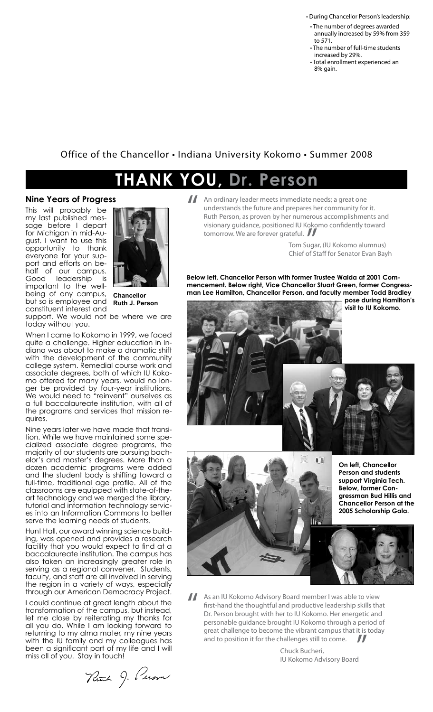• During Chancellor Person's leadership:

- The number of degrees awarded annually increased by 59% from 359 to 571.
- The number of full-time students increased by 29%.
- Total enrollment experienced an 8% gain.

## Office of the Chancellor • Indiana University Kokomo • Summer 2008

## **Thank You, Dr. Person**

## **Nine Years of Progress**

This will probably be my last published message before I depart for Michigan in mid-August. I want to use this opportunity to thank everyone for your support and efforts on behalf of our campus. Good leadership is important to the wellbeing of any campus, but so is employee and constituent interest and



**Chancellor Ruth J. Person**

support. We would not be where we are today without you.

When I came to Kokomo in 1999, we faced quite a challenge. Higher education in Indiana was about to make a dramatic shift with the development of the community college system. Remedial course work and associate degrees, both of which IU Kokomo offered for many years, would no longer be provided by four-year institutions. We would need to "reinvent" ourselves as a full baccalaureate institution, with all of the programs and services that mission requires.

Nine years later we have made that transition. While we have maintained some specialized associate degree programs, the majority of our students are pursuing bachelor's and master's degrees. More than a dozen academic programs were added and the student body is shifting toward a full-time, traditional age profile. All of the classrooms are equipped with state-of-theart technology and we merged the library, tutorial and information technology services into an Information Commons to better serve the learning needs of students.

Hunt Hall, our award winning science building, was opened and provides a research facility that you would expect to find at a baccalaureate institution. The campus has also taken an increasingly greater role in serving as a regional convener. Students, faculty, and staff are all involved in serving the region in a variety of ways, especially through our American Democracy Project.

I could continue at great length about the transformation of the campus, but instead, let me close by reiterating my thanks for all you do. While I am looking forward to returning to my alma mater, my nine years with the IU family and my colleagues has been a significant part of my life and I will miss all of you. Stay in touch!

Ruch 9. Pusson

An ordinary leader meets immediate needs; a great one understands the future and prepares her community for Ruth Person, as proven by her numerous accomplishment understands the future and prepares her community for it. Ruth Person, as proven by her numerous accomplishments and visionary guidance, positioned IU Kokomo confidently toward tomorrow. We are forever grateful.

 Tom Sugar, (IU Kokomo alumnus) Chief of Staff for Senator Evan Bayh  $\prod_{\text{uga}}$ <br>of St

**Below left, Chancellor Person with former Trustee Walda at 2001 Commencement. Below right, Vice Chancellor Stuart Green, former Congressman Lee Hamilton, Chancellor Person, and faculty member Todd Bradley** 

**pose during Hamilton's visit to IU Kokomo.**





As an IU Kokomo Advisory Board member I was able to view<br>first-hand the thoughtful and productive leadership skills that<br>Dr. Person brought with her to IU Kokomo. Her energetic and<br>necessarily a vidence brought II Kokomo t first-hand the thoughtful and productive leadership skills that Dr. Person brought with her to IU Kokomo. Her energetic and personable guidance brought IU Kokomo through a period of great challenge to become the vibrant campus that it is today and to position it for the challenges still to come. "

> Chuck Bucheri, IU Kokomo Advisory Board